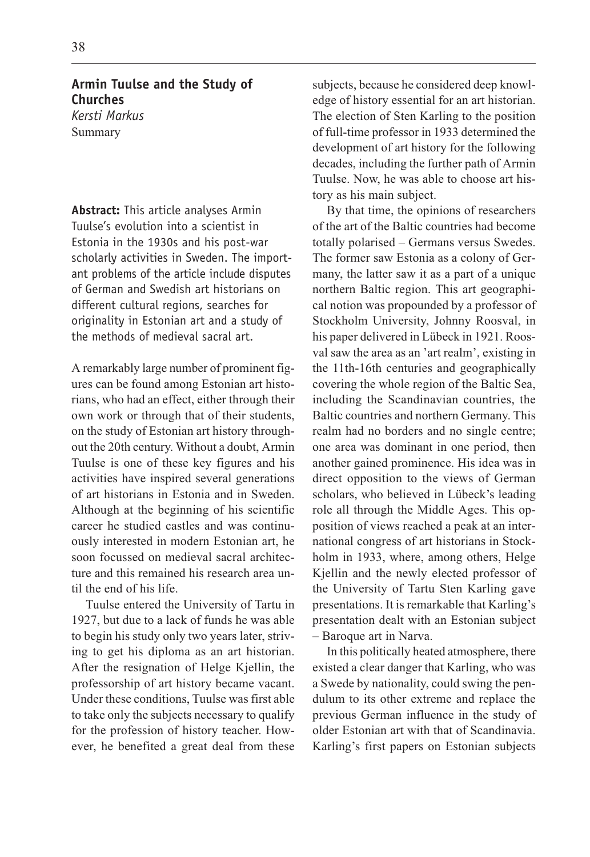**Armin Tuulse and the Study of Churches** *Kersti Markus* Summary

**Abstract:** This article analyses Armin Tuulse's evolution into a scientist in Estonia in the 1930s and his post-war scholarly activities in Sweden. The important problems of the article include disputes of German and Swedish art historians on different cultural regions, searches for originality in Estonian art and a study of the methods of medieval sacral art.

A remarkably large number of prominent figures can be found among Estonian art historians, who had an effect, either through their own work or through that of their students, on the study of Estonian art history throughout the 20th century. Without a doubt, Armin Tuulse is one of these key figures and his activities have inspired several generations of art historians in Estonia and in Sweden. Although at the beginning of his scientific career he studied castles and was continuously interested in modern Estonian art, he soon focussed on medieval sacral architecture and this remained his research area until the end of his life.

Tuulse entered the University of Tartu in 1927, but due to a lack of funds he was able to begin his study only two years later, striving to get his diploma as an art historian. After the resignation of Helge Kjellin, the professorship of art history became vacant. Under these conditions, Tuulse was first able to take only the subjects necessary to qualify for the profession of history teacher. However, he benefited a great deal from these

subjects, because he considered deep knowledge of history essential for an art historian. The election of Sten Karling to the position of full-time professor in 1933 determined the development of art history for the following decades, including the further path of Armin Tuulse. Now, he was able to choose art history as his main subject.

By that time, the opinions of researchers of the art of the Baltic countries had become totally polarised – Germans versus Swedes. The former saw Estonia as a colony of Germany, the latter saw it as a part of a unique northern Baltic region. This art geographical notion was propounded by a professor of Stockholm University, Johnny Roosval, in his paper delivered in Lübeck in 1921. Roosval saw the area as an 'art realm', existing in the 11th-16th centuries and geographically covering the whole region of the Baltic Sea, including the Scandinavian countries, the Baltic countries and northern Germany. This realm had no borders and no single centre; one area was dominant in one period, then another gained prominence. His idea was in direct opposition to the views of German scholars, who believed in Lübeck's leading role all through the Middle Ages. This opposition of views reached a peak at an international congress of art historians in Stockholm in 1933, where, among others, Helge Kjellin and the newly elected professor of the University of Tartu Sten Karling gave presentations. It is remarkable that Karling's presentation dealt with an Estonian subject - Baroque art in Narva.

In this politically heated atmosphere, there existed a clear danger that Karling, who was a Swede by nationality, could swing the pendulum to its other extreme and replace the previous German influence in the study of older Estonian art with that of Scandinavia. Karling's first papers on Estonian subjects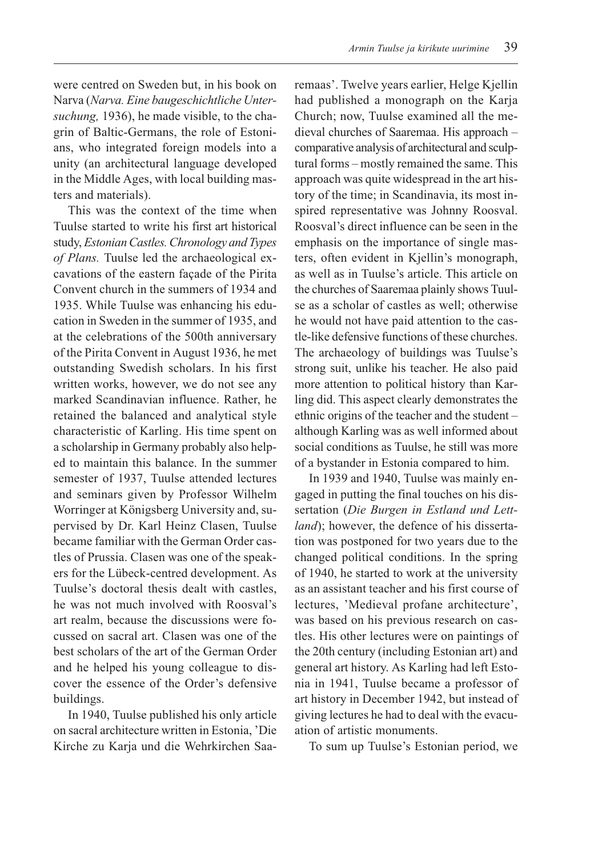were centred on Sweden but, in his book on Narva (Narva. Eine baugeschichtliche Untersuchung, 1936), he made visible, to the chagrin of Baltic-Germans, the role of Estonians, who integrated foreign models into a unity (an architectural language developed in the Middle Ages, with local building masters and materials).

This was the context of the time when Tuulse started to write his first art historical study, Estonian Castles. Chronology and Types of Plans. Tuulse led the archaeological excavations of the eastern façade of the Pirita Convent church in the summers of 1934 and 1935. While Tuulse was enhancing his education in Sweden in the summer of 1935, and at the celebrations of the 500th anniversary of the Pirita Convent in August 1936, he met outstanding Swedish scholars. In his first written works, however, we do not see any marked Scandinavian influence. Rather, he retained the balanced and analytical style characteristic of Karling. His time spent on a scholarship in Germany probably also helped to maintain this balance. In the summer semester of 1937, Tuulse attended lectures and seminars given by Professor Wilhelm Worringer at Königsberg University and, supervised by Dr. Karl Heinz Clasen, Tuulse became familiar with the German Order castles of Prussia. Clasen was one of the speakers for the Lübeck-centred development. As Tuulse's doctoral thesis dealt with castles, he was not much involved with Roosval's art realm, because the discussions were focussed on sacral art. Clasen was one of the best scholars of the art of the German Order and he helped his young colleague to discover the essence of the Order's defensive buildings.

In 1940, Tuulse published his only article on sacral architecture written in Estonia, Die Kirche zu Karja und die Wehrkirchen Saaremaas'. Twelve years earlier, Helge Kjellin had published a monograph on the Karja Church; now, Tuulse examined all the medieval churches of Saaremaa. His approach comparative analysis of architectural and sculptural forms - mostly remained the same. This approach was quite widespread in the art history of the time; in Scandinavia, its most inspired representative was Johnny Roosval. Roosval's direct influence can be seen in the emphasis on the importance of single masters, often evident in Kjellin's monograph, as well as in Tuulse's article. This article on the churches of Saaremaa plainly shows Tuulse as a scholar of castles as well; otherwise he would not have paid attention to the castle-like defensive functions of these churches. The archaeology of buildings was Tuulse's strong suit, unlike his teacher. He also paid more attention to political history than Karling did. This aspect clearly demonstrates the ethnic origins of the teacher and the student although Karling was as well informed about social conditions as Tuulse, he still was more of a bystander in Estonia compared to him.

In 1939 and 1940, Tuulse was mainly engaged in putting the final touches on his dissertation (Die Burgen in Estland und Lett*land*); however, the defence of his dissertation was postponed for two years due to the changed political conditions. In the spring of 1940, he started to work at the university as an assistant teacher and his first course of lectures, 'Medieval profane architecture', was based on his previous research on castles. His other lectures were on paintings of the 20th century (including Estonian art) and general art history. As Karling had left Estonia in 1941, Tuulse became a professor of art history in December 1942, but instead of giving lectures he had to deal with the evacuation of artistic monuments.

To sum up Tuulse's Estonian period, we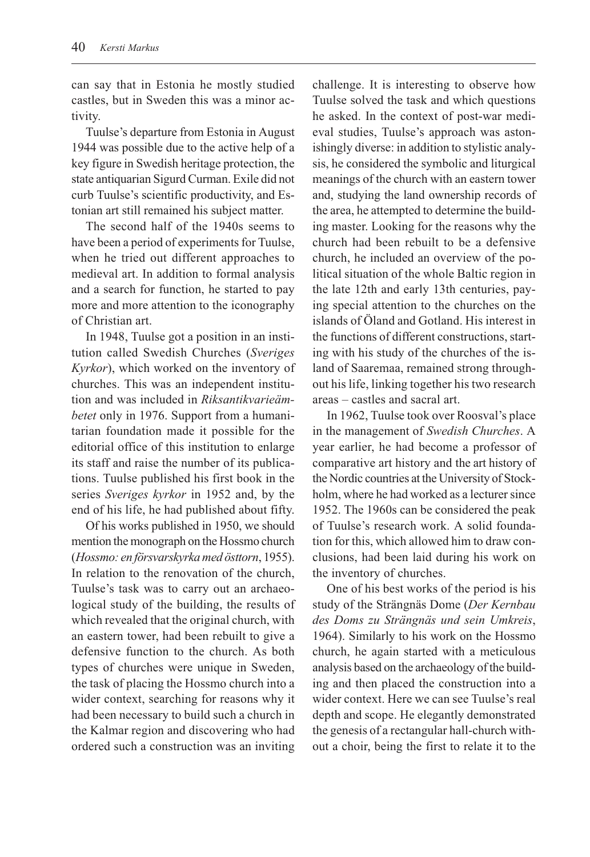can say that in Estonia he mostly studied castles, but in Sweden this was a minor activity.

Tuulse's departure from Estonia in August 1944 was possible due to the active help of a key figure in Swedish heritage protection, the state antiquarian Sigurd Curman. Exile did not curb Tuulse's scientific productivity, and Estonian art still remained his subject matter.

The second half of the 1940s seems to have been a period of experiments for Tuulse, when he tried out different approaches to medieval art. In addition to formal analysis and a search for function, he started to pay more and more attention to the iconography of Christian art.

In 1948, Tuulse got a position in an institution called Swedish Churches (Sveriges Kyrkor), which worked on the inventory of churches. This was an independent institution and was included in Riksantikvarieämbetet only in 1976. Support from a humanitarian foundation made it possible for the editorial office of this institution to enlarge its staff and raise the number of its publications. Tuulse published his first book in the series Sveriges kyrkor in 1952 and, by the end of his life, he had published about fifty.

Of his works published in 1950, we should mention the monograph on the Hossmo church (Hossmo: en försvarskyrka med östtorn, 1955). In relation to the renovation of the church, Tuulse's task was to carry out an archaeological study of the building, the results of which revealed that the original church, with an eastern tower, had been rebuilt to give a defensive function to the church. As both types of churches were unique in Sweden, the task of placing the Hossmo church into a wider context, searching for reasons why it had been necessary to build such a church in the Kalmar region and discovering who had ordered such a construction was an inviting

challenge. It is interesting to observe how Tuulse solved the task and which questions he asked. In the context of post-war medieval studies, Tuulse's approach was astonishingly diverse: in addition to stylistic analysis, he considered the symbolic and liturgical meanings of the church with an eastern tower and, studying the land ownership records of the area, he attempted to determine the building master. Looking for the reasons why the church had been rebuilt to be a defensive church, he included an overview of the political situation of the whole Baltic region in the late 12th and early 13th centuries, paying special attention to the churches on the islands of Öland and Gotland. His interest in the functions of different constructions, starting with his study of the churches of the island of Saaremaa, remained strong throughout his life, linking together his two research areas - castles and sacral art.

In 1962, Tuulse took over Roosval's place in the management of Swedish Churches. A year earlier, he had become a professor of comparative art history and the art history of the Nordic countries at the University of Stockholm, where he had worked as a lecturer since 1952. The 1960s can be considered the peak of Tuulse's research work. A solid foundation for this, which allowed him to draw conclusions, had been laid during his work on the inventory of churches.

One of his best works of the period is his study of the Strängnäs Dome (Der Kernbau des Doms zu Strängnäs und sein Umkreis, 1964). Similarly to his work on the Hossmo church, he again started with a meticulous analysis based on the archaeology of the building and then placed the construction into a wider context. Here we can see Tuulse's real depth and scope. He elegantly demonstrated the genesis of a rectangular hall-church without a choir, being the first to relate it to the